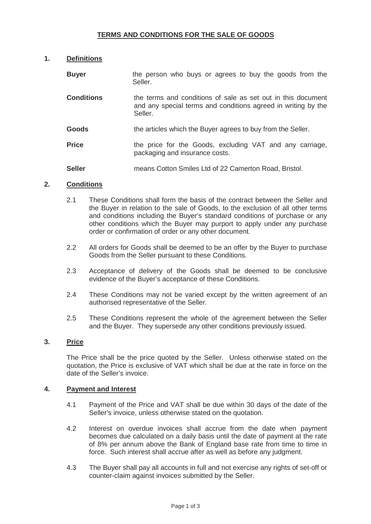# **TERMS AND CONDITIONS FOR THE SALE OF GOODS**

## **1. Definitions**

| <b>Buyer</b>      | the person who buys or agrees to buy the goods from the<br>Seller.                                                                       |
|-------------------|------------------------------------------------------------------------------------------------------------------------------------------|
| <b>Conditions</b> | the terms and conditions of sale as set out in this document<br>and any special terms and conditions agreed in writing by the<br>Seller. |
| Goods             | the articles which the Buyer agrees to buy from the Seller.                                                                              |
| <b>Price</b>      | the price for the Goods, excluding VAT and any carriage,<br>packaging and insurance costs.                                               |
| <b>Seller</b>     | means Cotton Smiles Ltd of 22 Camerton Road, Bristol.                                                                                    |

### **2. Conditions**

- 2.1 These Conditions shall form the basis of the contract between the Seller and the Buyer in relation to the sale of Goods, to the exclusion of all other terms and conditions including the Buyer's standard conditions of purchase or any other conditions which the Buyer may purport to apply under any purchase order or confirmation of order or any other document.
- 2.2 All orders for Goods shall be deemed to be an offer by the Buyer to purchase Goods from the Seller pursuant to these Conditions.
- 2.3 Acceptance of delivery of the Goods shall be deemed to be conclusive evidence of the Buyer's acceptance of these Conditions.
- 2.4 These Conditions may not be varied except by the written agreement of an authorised representative of the Seller.
- 2.5 These Conditions represent the whole of the agreement between the Seller and the Buyer. They supersede any other conditions previously issued.

## **3. Price**

 The Price shall be the price quoted by the Seller. Unless otherwise stated on the quotation, the Price is exclusive of VAT which shall be due at the rate in force on the date of the Seller's invoice.

### **4. Payment and Interest**

- 4.1 Payment of the Price and VAT shall be due within 30 days of the date of the Seller's invoice, unless otherwise stated on the quotation.
- 4.2 Interest on overdue invoices shall accrue from the date when payment becomes due calculated on a daily basis until the date of payment at the rate of 8% per annum above the Bank of England base rate from time to time in force. Such interest shall accrue after as well as before any judgment.
- 4.3 The Buyer shall pay all accounts in full and not exercise any rights of set-off or counter-claim against invoices submitted by the Seller.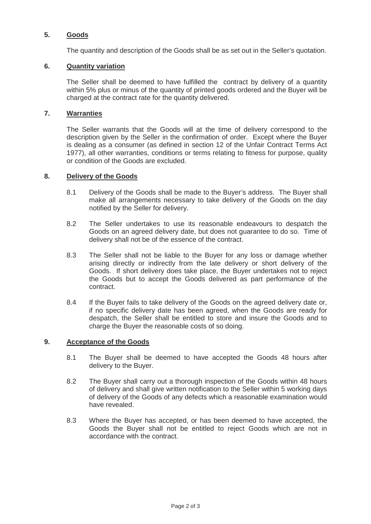# **5. Goods**

The quantity and description of the Goods shall be as set out in the Seller's quotation.

# **6. Quantity variation**

The Seller shall be deemed to have fulfilled the contract by delivery of a quantity within 5% plus or minus of the quantity of printed goods ordered and the Buyer will be charged at the contract rate for the quantity delivered.

## **7. Warranties**

The Seller warrants that the Goods will at the time of delivery correspond to the description given by the Seller in the confirmation of order. Except where the Buyer is dealing as a consumer (as defined in section 12 of the Unfair Contract Terms Act 1977), all other warranties, conditions or terms relating to fitness for purpose, quality or condition of the Goods are excluded.

### **8. Delivery of the Goods**

- 8.1 Delivery of the Goods shall be made to the Buyer's address. The Buyer shall make all arrangements necessary to take delivery of the Goods on the day notified by the Seller for delivery.
- 8.2 The Seller undertakes to use its reasonable endeavours to despatch the Goods on an agreed delivery date, but does not guarantee to do so. Time of delivery shall not be of the essence of the contract.
- 8.3 The Seller shall not be liable to the Buyer for any loss or damage whether arising directly or indirectly from the late delivery or short delivery of the Goods. If short delivery does take place, the Buyer undertakes not to reject the Goods but to accept the Goods delivered as part performance of the contract.
- 8.4 If the Buyer fails to take delivery of the Goods on the agreed delivery date or, if no specific delivery date has been agreed, when the Goods are ready for despatch, the Seller shall be entitled to store and insure the Goods and to charge the Buyer the reasonable costs of so doing.

### **9. Acceptance of the Goods**

- 8.1 The Buyer shall be deemed to have accepted the Goods 48 hours after delivery to the Buyer.
- 8.2 The Buyer shall carry out a thorough inspection of the Goods within 48 hours of delivery and shall give written notification to the Seller within 5 working days of delivery of the Goods of any defects which a reasonable examination would have revealed.
- 8.3 Where the Buyer has accepted, or has been deemed to have accepted, the Goods the Buyer shall not be entitled to reject Goods which are not in accordance with the contract.